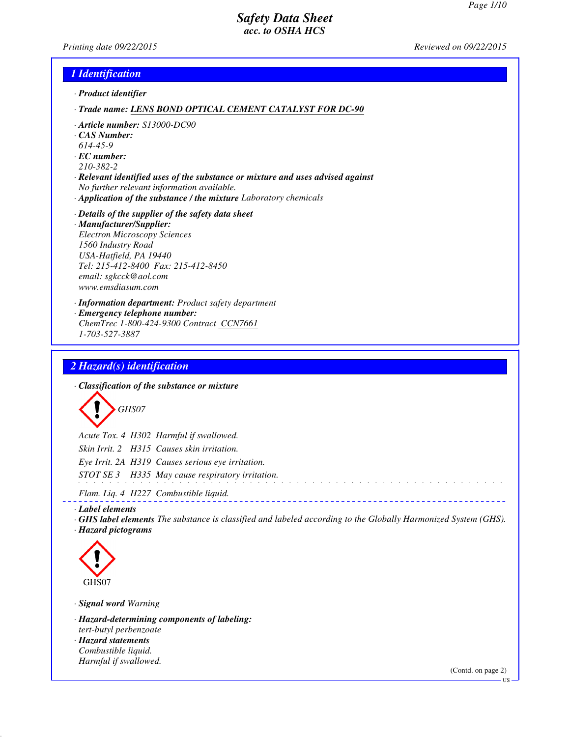*Printing date 09/22/2015 Reviewed on 09/22/2015*

## *1 Identification*

*· Product identifier*

*· Trade name: LENS BOND OPTICAL CEMENT CATALYST FOR DC-90*

- *· Article number: S13000-DC90*
- *· CAS Number:*
- *614-45-9*
- *· EC number:*
- *210-382-2*
- *· Relevant identified uses of the substance or mixture and uses advised against No further relevant information available.*
- *· Application of the substance / the mixture Laboratory chemicals*

#### *· Details of the supplier of the safety data sheet*

- *· Manufacturer/Supplier: Electron Microscopy Sciences 1560 Industry Road USA-Hatfield, PA 19440 Tel: 215-412-8400 Fax: 215-412-8450 email: sgkcck@aol.com www.emsdiasum.com*
- *· Information department: Product safety department*
- *· Emergency telephone number:*
- *ChemTrec 1-800-424-9300 Contract CCN7661 1-703-527-3887*

#### *2 Hazard(s) identification*

*· Classification of the substance or mixture*

*GHS07*

*Acute Tox. 4 H302 Harmful if swallowed. Skin Irrit. 2 H315 Causes skin irritation. Eye Irrit. 2A H319 Causes serious eye irritation. STOT SE 3 H335 May cause respiratory irritation.*

*Flam. Liq. 4 H227 Combustible liquid.*

*· Label elements*

*· GHS label elements The substance is classified and labeled according to the Globally Harmonized System (GHS). · Hazard pictograms*

<u>. . . . . . . . . . . . . . .</u>



*· Signal word Warning*

*· Hazard-determining components of labeling: tert-butyl perbenzoate*

*· Hazard statements Combustible liquid. Harmful if swallowed.*

(Contd. on page 2)

US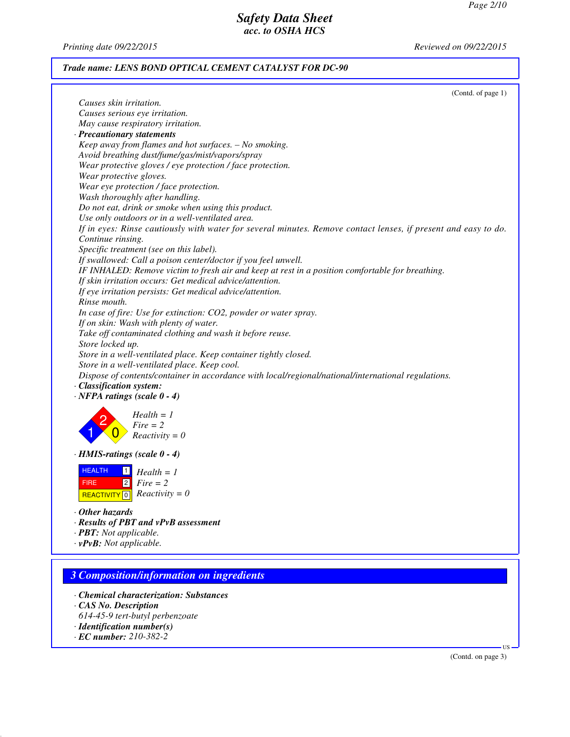*Printing date 09/22/2015 Reviewed on 09/22/2015*

## *Trade name: LENS BOND OPTICAL CEMENT CATALYST FOR DC-90*

|                                                                                                                | (Contd. of page 1) |
|----------------------------------------------------------------------------------------------------------------|--------------------|
| Causes skin irritation.                                                                                        |                    |
| Causes serious eye irritation.                                                                                 |                    |
| May cause respiratory irritation.                                                                              |                    |
| · Precautionary statements                                                                                     |                    |
| Keep away from flames and hot surfaces. - No smoking.                                                          |                    |
| Avoid breathing dust/fume/gas/mist/vapors/spray                                                                |                    |
| Wear protective gloves / eye protection / face protection.                                                     |                    |
| Wear protective gloves.                                                                                        |                    |
| Wear eye protection / face protection.                                                                         |                    |
| Wash thoroughly after handling.                                                                                |                    |
| Do not eat, drink or smoke when using this product.                                                            |                    |
| Use only outdoors or in a well-ventilated area.                                                                |                    |
| If in eyes: Rinse cautiously with water for several minutes. Remove contact lenses, if present and easy to do. |                    |
| Continue rinsing.                                                                                              |                    |
| Specific treatment (see on this label).                                                                        |                    |
| If swallowed: Call a poison center/doctor if you feel unwell.                                                  |                    |
| IF INHALED: Remove victim to fresh air and keep at rest in a position comfortable for breathing.               |                    |
| If skin irritation occurs: Get medical advice/attention.                                                       |                    |
| If eye irritation persists: Get medical advice/attention.                                                      |                    |
| Rinse mouth.                                                                                                   |                    |
| In case of fire: Use for extinction: CO2, powder or water spray.                                               |                    |
| If on skin: Wash with plenty of water.                                                                         |                    |
| Take off contaminated clothing and wash it before reuse.                                                       |                    |
| Store locked up.                                                                                               |                    |
| Store in a well-ventilated place. Keep container tightly closed.                                               |                    |
| Store in a well-ventilated place. Keep cool.                                                                   |                    |
| Dispose of contents/container in accordance with local/regional/national/international regulations.            |                    |
| · Classification system:                                                                                       |                    |
| $\cdot$ NFPA ratings (scale $0 - 4$ )                                                                          |                    |
|                                                                                                                |                    |
| $Health = 1$                                                                                                   |                    |
| $Fire = 2$                                                                                                     |                    |
| $Reactivity = 0$                                                                                               |                    |
|                                                                                                                |                    |
| · HMIS-ratings (scale 0 - 4)                                                                                   |                    |
| <b>HEALTH</b><br>$Health = 1$                                                                                  |                    |
| $ 2 $ Fire = 2<br>FIRE                                                                                         |                    |
| REACTIVITY 0 $Reactivity = 0$                                                                                  |                    |
|                                                                                                                |                    |
| ⋅ Other hazards                                                                                                |                    |
| · Results of PBT and vPvB assessment                                                                           |                    |
| · PBT: Not applicable.                                                                                         |                    |
| $\cdot$ vPvB: Not applicable.                                                                                  |                    |
|                                                                                                                |                    |
|                                                                                                                |                    |

# *3 Composition/information on ingredients*

- *· Chemical characterization: Substances*
- *· CAS No. Description*
- *614-45-9 tert-butyl perbenzoate*
- *· Identification number(s)*
- *· EC number: 210-382-2*

(Contd. on page 3)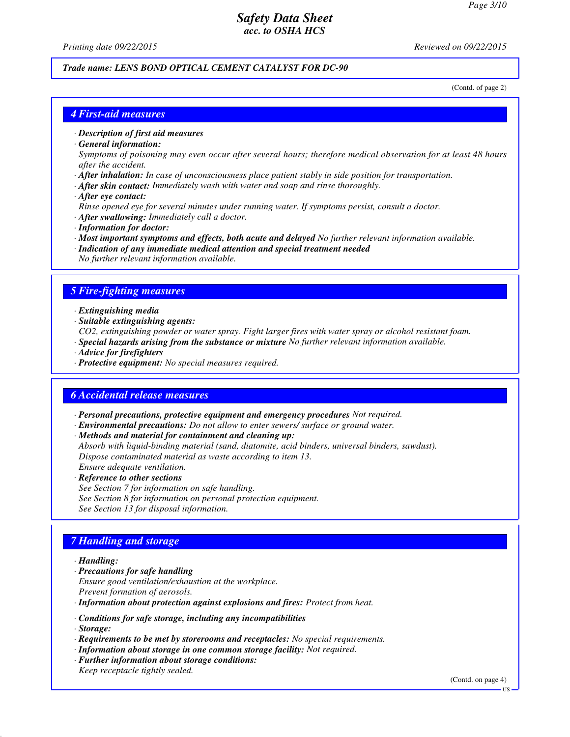*Printing date 09/22/2015 Reviewed on 09/22/2015*

## *Trade name: LENS BOND OPTICAL CEMENT CATALYST FOR DC-90*

(Contd. of page 2)

#### *4 First-aid measures*

*· Description of first aid measures*

*· General information:*

*Symptoms of poisoning may even occur after several hours; therefore medical observation for at least 48 hours after the accident.*

- *· After inhalation: In case of unconsciousness place patient stably in side position for transportation.*
- *· After skin contact: Immediately wash with water and soap and rinse thoroughly.*
- *· After eye contact:*
- *Rinse opened eye for several minutes under running water. If symptoms persist, consult a doctor.*
- *· After swallowing: Immediately call a doctor.*
- *· Information for doctor:*
- *· Most important symptoms and effects, both acute and delayed No further relevant information available.*
- *· Indication of any immediate medical attention and special treatment needed No further relevant information available.*

#### *5 Fire-fighting measures*

- *· Extinguishing media*
- *· Suitable extinguishing agents:*
- *CO2, extinguishing powder or water spray. Fight larger fires with water spray or alcohol resistant foam.*
- *· Special hazards arising from the substance or mixture No further relevant information available.*
- *· Advice for firefighters*
- *· Protective equipment: No special measures required.*

#### *6 Accidental release measures*

- *· Personal precautions, protective equipment and emergency procedures Not required.*
- *· Environmental precautions: Do not allow to enter sewers/ surface or ground water.*
- *· Methods and material for containment and cleaning up:*

*Absorb with liquid-binding material (sand, diatomite, acid binders, universal binders, sawdust). Dispose contaminated material as waste according to item 13. Ensure adequate ventilation.*

- *· Reference to other sections*
- *See Section 7 for information on safe handling. See Section 8 for information on personal protection equipment. See Section 13 for disposal information.*

## *7 Handling and storage*

#### *· Handling:*

- *· Precautions for safe handling Ensure good ventilation/exhaustion at the workplace. Prevent formation of aerosols.*
- *· Information about protection against explosions and fires: Protect from heat.*
- *· Conditions for safe storage, including any incompatibilities*
- *· Storage:*
- *· Requirements to be met by storerooms and receptacles: No special requirements.*
- *· Information about storage in one common storage facility: Not required.*
- *· Further information about storage conditions:*
- *Keep receptacle tightly sealed.*

(Contd. on page 4)

US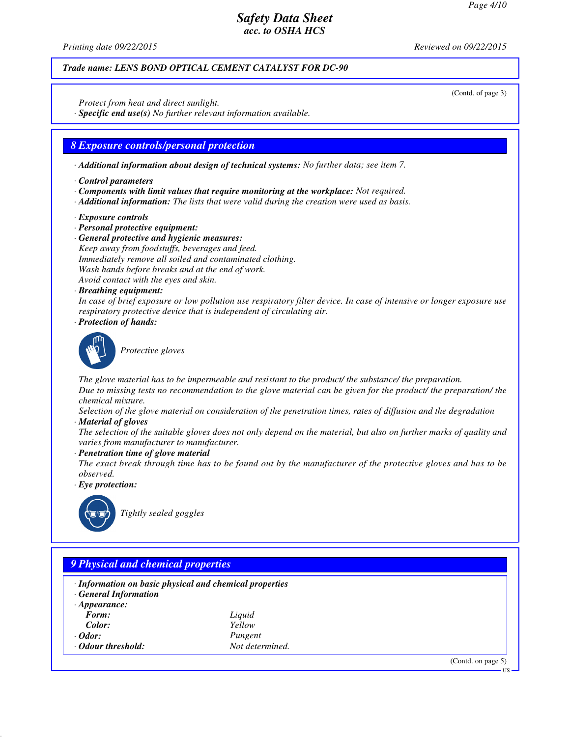(Contd. of page 3)

## *Safety Data Sheet acc. to OSHA HCS*

*Printing date 09/22/2015 Reviewed on 09/22/2015*

## *Trade name: LENS BOND OPTICAL CEMENT CATALYST FOR DC-90*

*Protect from heat and direct sunlight.*

*· Specific end use(s) No further relevant information available.*

#### *8 Exposure controls/personal protection*

*· Additional information about design of technical systems: No further data; see item 7.*

- *· Control parameters*
- *· Components with limit values that require monitoring at the workplace: Not required.*
- *· Additional information: The lists that were valid during the creation were used as basis.*
- *· Exposure controls*
- *· Personal protective equipment:*
- *· General protective and hygienic measures:*
- *Keep away from foodstuffs, beverages and feed. Immediately remove all soiled and contaminated clothing. Wash hands before breaks and at the end of work. Avoid contact with the eyes and skin.*
- *· Breathing equipment:*

*In case of brief exposure or low pollution use respiratory filter device. In case of intensive or longer exposure use respiratory protective device that is independent of circulating air.*

*· Protection of hands:*



*Protective gloves*

*The glove material has to be impermeable and resistant to the product/ the substance/ the preparation. Due to missing tests no recommendation to the glove material can be given for the product/ the preparation/ the chemical mixture.*

*Selection of the glove material on consideration of the penetration times, rates of diffusion and the degradation*

*· Material of gloves*

*The selection of the suitable gloves does not only depend on the material, but also on further marks of quality and varies from manufacturer to manufacturer.*

*· Penetration time of glove material*

*The exact break through time has to be found out by the manufacturer of the protective gloves and has to be observed.*

*· Eye protection:*



*Tightly sealed goggles*

| · Information on basic physical and chemical properties |                 |  |
|---------------------------------------------------------|-----------------|--|
| <b>General Information</b>                              |                 |  |
| $\cdot$ Appearance:                                     |                 |  |
| Form:                                                   | Liquid          |  |
| Color:                                                  | Yellow          |  |
| $\cdot$ Odor:                                           | Pungent         |  |
| • Odour threshold:                                      | Not determined. |  |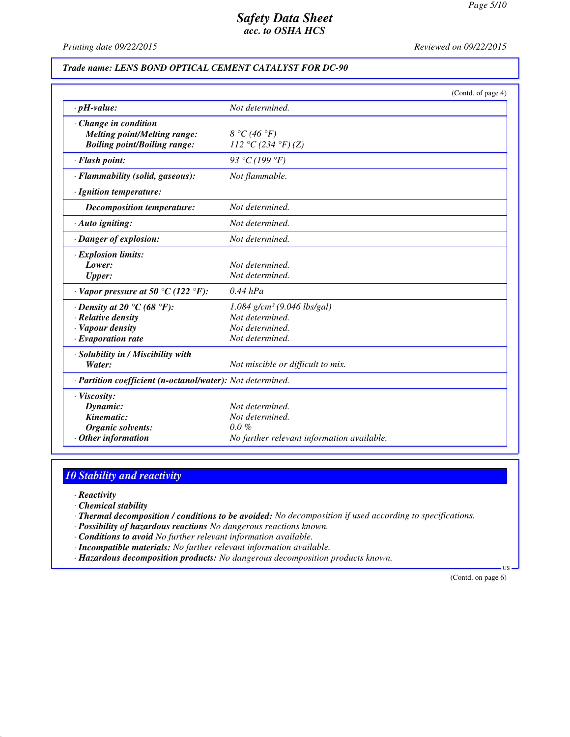*Printing date 09/22/2015 Reviewed on 09/22/2015*

## *Trade name: LENS BOND OPTICAL CEMENT CATALYST FOR DC-90*

|                                                            | (Contd. of page 4)                         |  |
|------------------------------------------------------------|--------------------------------------------|--|
| $\cdot$ pH-value:                                          | Not determined.                            |  |
| · Change in condition                                      |                                            |  |
| <b>Melting point/Melting range:</b>                        | 8 °C (46 °F)                               |  |
| <b>Boiling point/Boiling range:</b>                        | 112 °C (234 °F) (Z)                        |  |
| · Flash point:                                             | 93 °C (199 °F)                             |  |
| · Flammability (solid, gaseous):                           | Not flammable.                             |  |
| · Ignition temperature:                                    |                                            |  |
| Decomposition temperature:                                 | Not determined.                            |  |
| · Auto igniting:                                           | Not determined.                            |  |
| · Danger of explosion:                                     | Not determined.                            |  |
| · Explosion limits:                                        |                                            |  |
| Lower:                                                     | Not determined.                            |  |
| <b>Upper:</b>                                              | Not determined.                            |  |
| $\cdot$ Vapor pressure at 50 °C (122 °F):                  | $0.44$ hPa                                 |  |
| $\cdot$ Density at 20 °C (68 °F):                          | $1.084$ g/cm <sup>3</sup> (9.046 lbs/gal)  |  |
| $\cdot$ Relative density                                   | Not determined.                            |  |
| · Vapour density                                           | Not determined.                            |  |
| $\cdot$ Evaporation rate                                   | Not determined.                            |  |
| · Solubility in / Miscibility with                         |                                            |  |
| Water:                                                     | Not miscible or difficult to mix.          |  |
| · Partition coefficient (n-octanol/water): Not determined. |                                            |  |
| $\cdot$ Viscosity:                                         |                                            |  |
| Dynamic:                                                   | Not determined.                            |  |
| Kinematic:                                                 | Not determined.                            |  |
| <b>Organic solvents:</b>                                   | $0.0\%$                                    |  |
| Other information                                          | No further relevant information available. |  |

## *10 Stability and reactivity*

*· Reactivity*

*· Chemical stability*

*· Thermal decomposition / conditions to be avoided: No decomposition if used according to specifications.*

*· Possibility of hazardous reactions No dangerous reactions known.*

*· Conditions to avoid No further relevant information available.*

*· Incompatible materials: No further relevant information available.*

*· Hazardous decomposition products: No dangerous decomposition products known.*

(Contd. on page 6)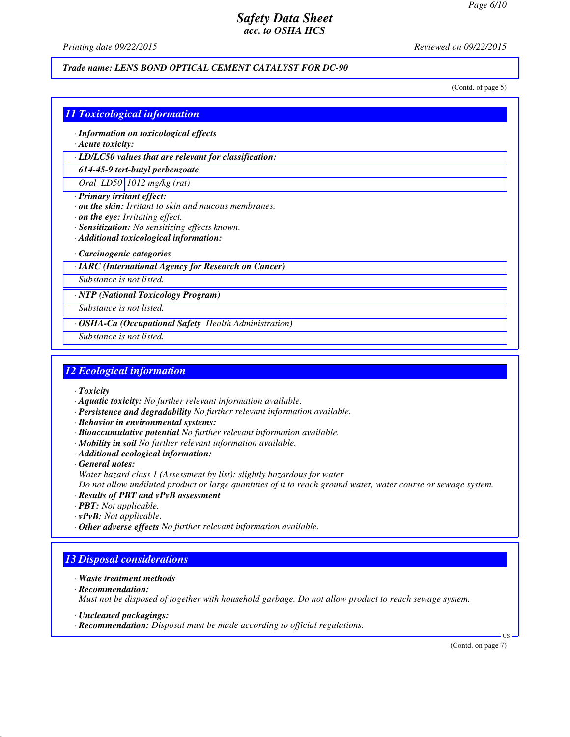*Printing date 09/22/2015 Reviewed on 09/22/2015*

#### *Trade name: LENS BOND OPTICAL CEMENT CATALYST FOR DC-90*

(Contd. of page 5)

## *11 Toxicological information*

- *· Information on toxicological effects*
- *· Acute toxicity:*

*· LD/LC50 values that are relevant for classification:*

## *614-45-9 tert-butyl perbenzoate*

*Oral LD50 1012 mg/kg (rat)*

- *· Primary irritant effect:*
- *· on the skin: Irritant to skin and mucous membranes.*
- *· on the eye: Irritating effect.*
- *· Sensitization: No sensitizing effects known.*
- *· Additional toxicological information:*

#### *· Carcinogenic categories*

*· IARC (International Agency for Research on Cancer)*

*Substance is not listed.*

*· NTP (National Toxicology Program)*

*Substance is not listed.*

*· OSHA-Ca (Occupational Safety Health Administration)*

*Substance is not listed.*

## *12 Ecological information*

- *· Toxicity*
- *· Aquatic toxicity: No further relevant information available.*
- *· Persistence and degradability No further relevant information available.*
- *· Behavior in environmental systems:*
- *· Bioaccumulative potential No further relevant information available.*
- *· Mobility in soil No further relevant information available.*
- *· Additional ecological information:*

*· General notes: Water hazard class 1 (Assessment by list): slightly hazardous for water*

*Do not allow undiluted product or large quantities of it to reach ground water, water course or sewage system.*

- *· Results of PBT and vPvB assessment*
- *· PBT: Not applicable.*
- *· vPvB: Not applicable.*
- *· Other adverse effects No further relevant information available.*

## *13 Disposal considerations*

- *· Waste treatment methods*
- *· Recommendation:*

*Must not be disposed of together with household garbage. Do not allow product to reach sewage system.*

- *· Uncleaned packagings:*
- *· Recommendation: Disposal must be made according to official regulations.*

(Contd. on page 7)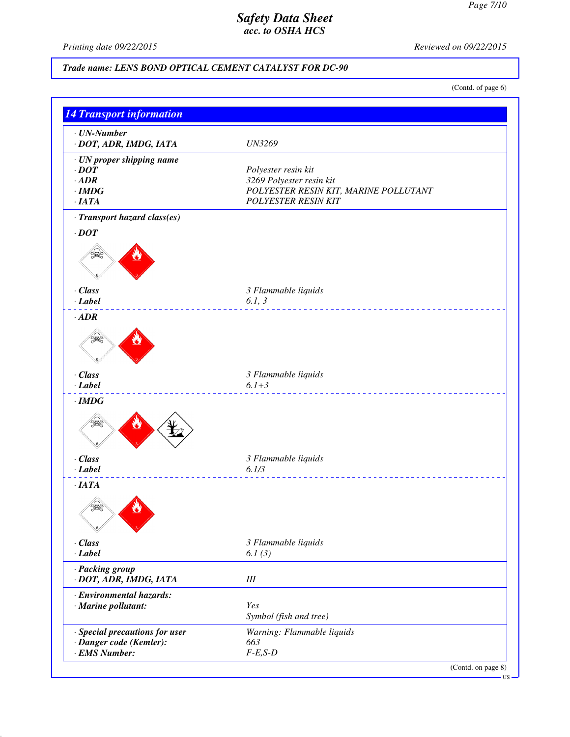*Printing date 09/22/2015 Reviewed on 09/22/2015*

# *Trade name: LENS BOND OPTICAL CEMENT CATALYST FOR DC-90*

(Contd. of page 6)

| $\cdot$ UN-Number<br>· DOT, ADR, IMDG, IATA | <b>UN3269</b>                         |
|---------------------------------------------|---------------------------------------|
| · UN proper shipping name                   |                                       |
| $\cdot$ DOT                                 | Polyester resin kit                   |
| $\cdot$ ADR                                 | 3269 Polyester resin kit              |
| $\cdot$ IMDG                                | POLYESTER RESIN KIT, MARINE POLLUTANT |
| ·IATA                                       | <b>POLYESTER RESIN KIT</b>            |
| · Transport hazard class(es)                |                                       |
| $\cdot$ DOT                                 |                                       |
|                                             |                                       |
| · Class                                     | 3 Flammable liquids                   |
| $-Label$                                    | 6.1, 3                                |
| $\cdot$ ADR                                 |                                       |
|                                             |                                       |
| · Class                                     | 3 Flammable liquids                   |
| $-Label$                                    | $6.1 + 3$<br><u>.</u>                 |
| $\cdot$ IMDG                                |                                       |
|                                             |                                       |
| · Class                                     | 3 Flammable liquids                   |
| $\cdot$ Label                               | 6.1/3                                 |
| ·IATA                                       |                                       |
|                                             |                                       |
| $\cdot$ Class                               | 3 Flammable liquids                   |
| · Label                                     | 6.1 $(3)$                             |
| · Packing group<br>· DOT, ADR, IMDG, IATA   | $I\!I\!I$                             |
| · Environmental hazards:                    |                                       |
| · Marine pollutant:                         | Yes                                   |
|                                             | Symbol (fish and tree)                |
|                                             |                                       |
| · Special precautions for user              | Warning: Flammable liquids            |
| · Danger code (Kemler):                     | 663                                   |
| · EMS Number:                               | $F-E,S-D$                             |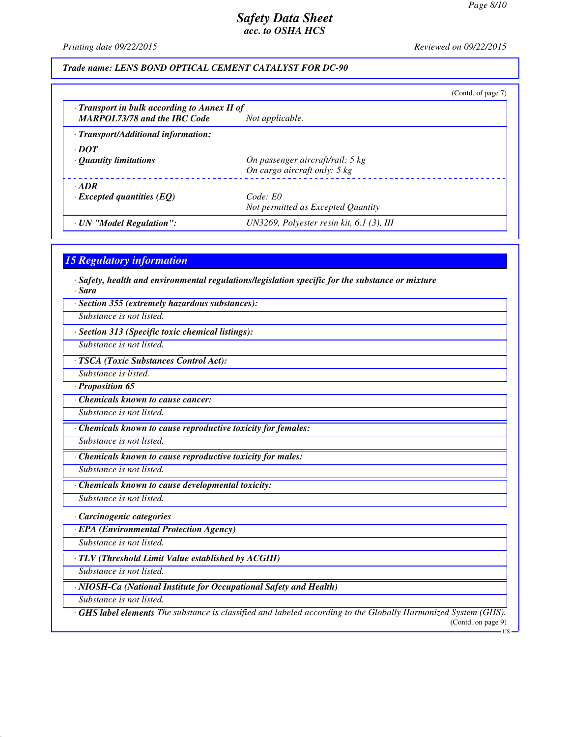*Printing date 09/22/2015 Reviewed on 09/22/2015*

#### *Trade name: LENS BOND OPTICAL CEMENT CATALYST FOR DC-90*

|                                                                                           | (Contd. of page 7)                                                         |
|-------------------------------------------------------------------------------------------|----------------------------------------------------------------------------|
| $\cdot$ Transport in bulk according to Annex II of<br><b>MARPOL73/78 and the IBC Code</b> | Not applicable.                                                            |
| · Transport/Additional information:                                                       |                                                                            |
| $\cdot$ DOT<br>$\cdot$ Quantity limitations                                               | On passenger aircraft/rail: 5 kg<br>On cargo aircraft only: $5 \text{ kg}$ |
| $\cdot$ ADR<br>$\cdot$ Excepted quantities (EQ)                                           | Code: E0<br>Not permitted as Excepted Quantity                             |
| · UN "Model Regulation":                                                                  | UN3269, Polyester resin kit, 6.1 (3), III                                  |

#### *15 Regulatory information*

*· Safety, health and environmental regulations/legislation specific for the substance or mixture · Sara*

*· Section 355 (extremely hazardous substances):*

*Substance is not listed.*

*· Section 313 (Specific toxic chemical listings):*

*Substance is not listed.*

*· TSCA (Toxic Substances Control Act):*

*Substance is listed.*

*· Proposition 65*

*· Chemicals known to cause cancer:*

*Substance is not listed.*

*· Chemicals known to cause reproductive toxicity for females:*

*Substance is not listed.*

*· Chemicals known to cause reproductive toxicity for males:*

*Substance is not listed.*

*· Chemicals known to cause developmental toxicity:*

*Substance is not listed.*

*· Carcinogenic categories*

*· EPA (Environmental Protection Agency)*

*Substance is not listed.*

*· TLV (Threshold Limit Value established by ACGIH)*

*Substance is not listed.*

*· NIOSH-Ca (National Institute for Occupational Safety and Health)*

*Substance is not listed.*

*· GHS label elements The substance is classified and labeled according to the Globally Harmonized System (GHS).* (Contd. on page 9)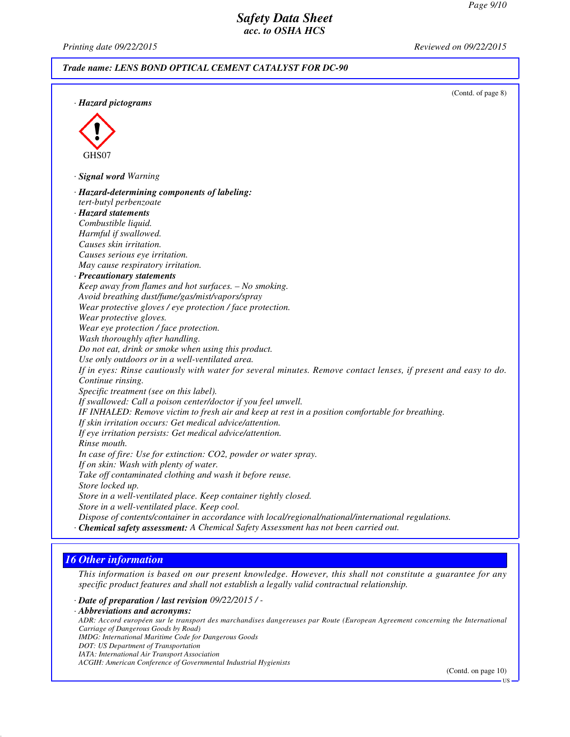*Printing date 09/22/2015 Reviewed on 09/22/2015*

#### *Trade name: LENS BOND OPTICAL CEMENT CATALYST FOR DC-90*

(Contd. of page 8) *· Hazard pictograms* GHS07 *· Signal word Warning · Hazard-determining components of labeling: tert-butyl perbenzoate · Hazard statements Combustible liquid. Harmful if swallowed. Causes skin irritation. Causes serious eye irritation. May cause respiratory irritation. · Precautionary statements Keep away from flames and hot surfaces. – No smoking. Avoid breathing dust/fume/gas/mist/vapors/spray Wear protective gloves / eye protection / face protection. Wear protective gloves. Wear eye protection / face protection. Wash thoroughly after handling. Do not eat, drink or smoke when using this product. Use only outdoors or in a well-ventilated area. If in eyes: Rinse cautiously with water for several minutes. Remove contact lenses, if present and easy to do. Continue rinsing. Specific treatment (see on this label). If swallowed: Call a poison center/doctor if you feel unwell. IF INHALED: Remove victim to fresh air and keep at rest in a position comfortable for breathing. If skin irritation occurs: Get medical advice/attention. If eye irritation persists: Get medical advice/attention. Rinse mouth. In case of fire: Use for extinction: CO2, powder or water spray. If on skin: Wash with plenty of water. Take off contaminated clothing and wash it before reuse. Store locked up. Store in a well-ventilated place. Keep container tightly closed. Store in a well-ventilated place. Keep cool. Dispose of contents/container in accordance with local/regional/national/international regulations. · Chemical safety assessment: A Chemical Safety Assessment has not been carried out.*

## *16 Other information*

*This information is based on our present knowledge. However, this shall not constitute a guarantee for any specific product features and shall not establish a legally valid contractual relationship.*

*· Date of preparation / last revision 09/22/2015 / -*

*· Abbreviations and acronyms:*

*ADR: Accord européen sur le transport des marchandises dangereuses par Route (European Agreement concerning the International Carriage of Dangerous Goods by Road)*

*IMDG: International Maritime Code for Dangerous Goods*

- *DOT: US Department of Transportation*
- *IATA: International Air Transport Association*

*ACGIH: American Conference of Governmental Industrial Hygienists*

(Contd. on page 10)

US